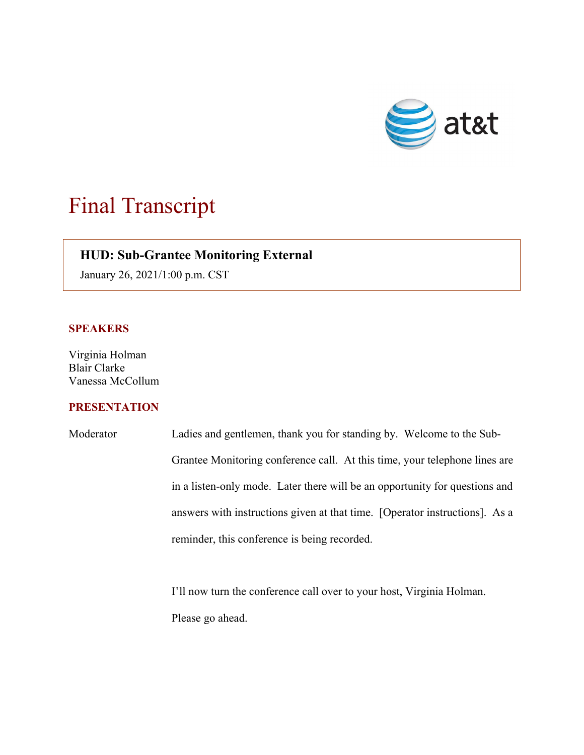

## Final Transcript

## **HUD: Sub-Grantee Monitoring External**

January 26, 2021/1:00 p.m. CST

## **SPEAKERS**

 $\overline{\phantom{a}}$ 

Virginia Holman Blair Clarke Vanessa McCollum

## **PRESENTATION**

| Moderator | Ladies and gentlemen, thank you for standing by. Welcome to the Sub-        |
|-----------|-----------------------------------------------------------------------------|
|           | Grantee Monitoring conference call. At this time, your telephone lines are  |
|           | in a listen-only mode. Later there will be an opportunity for questions and |
|           | answers with instructions given at that time. [Operator instructions]. As a |
|           | reminder, this conference is being recorded.                                |

I'll now turn the conference call over to your host, Virginia Holman. Please go ahead.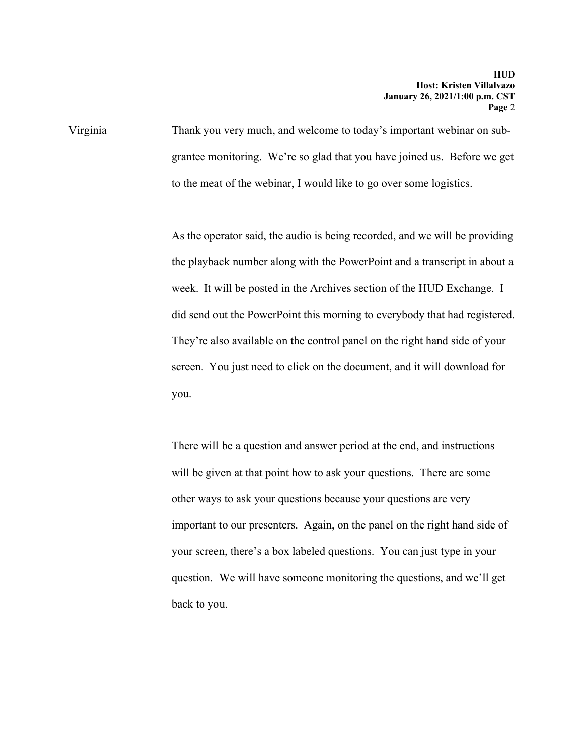Virginia Thank you very much, and welcome to today's important webinar on subgrantee monitoring. We're so glad that you have joined us. Before we get to the meat of the webinar, I would like to go over some logistics.

> As the operator said, the audio is being recorded, and we will be providing the playback number along with the PowerPoint and a transcript in about a week. It will be posted in the Archives section of the HUD Exchange. I did send out the PowerPoint this morning to everybody that had registered. They're also available on the control panel on the right hand side of your screen. You just need to click on the document, and it will download for you.

There will be a question and answer period at the end, and instructions will be given at that point how to ask your questions. There are some other ways to ask your questions because your questions are very important to our presenters. Again, on the panel on the right hand side of your screen, there's a box labeled questions. You can just type in your question. We will have someone monitoring the questions, and we'll get back to you.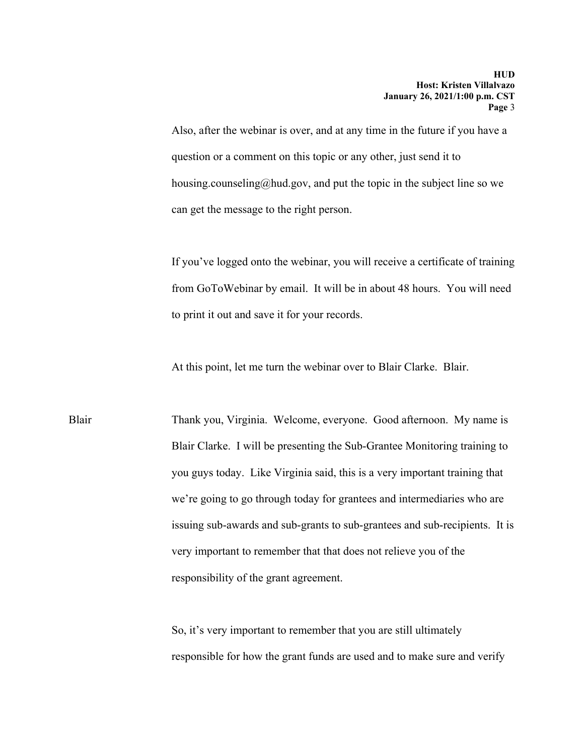Also, after the webinar is over, and at any time in the future if you have a question or a comment on this topic or any other, just send it to [housing.counseling@hud.gov](mailto:housing.counseling@hud.gov), and put the topic in the subject line so we can get the message to the right person.

If you've logged onto the webinar, you will receive a certificate of training from GoToWebinar by email. It will be in about 48 hours. You will need to print it out and save it for your records.

At this point, let me turn the webinar over to Blair Clarke. Blair.

Blair Thank you, Virginia. Welcome, everyone. Good afternoon. My name is Blair Clarke. I will be presenting the Sub-Grantee Monitoring training to you guys today. Like Virginia said, this is a very important training that we're going to go through today for grantees and intermediaries who are issuing sub-awards and sub-grants to sub-grantees and sub-recipients. It is very important to remember that that does not relieve you of the responsibility of the grant agreement.

> So, it's very important to remember that you are still ultimately responsible for how the grant funds are used and to make sure and verify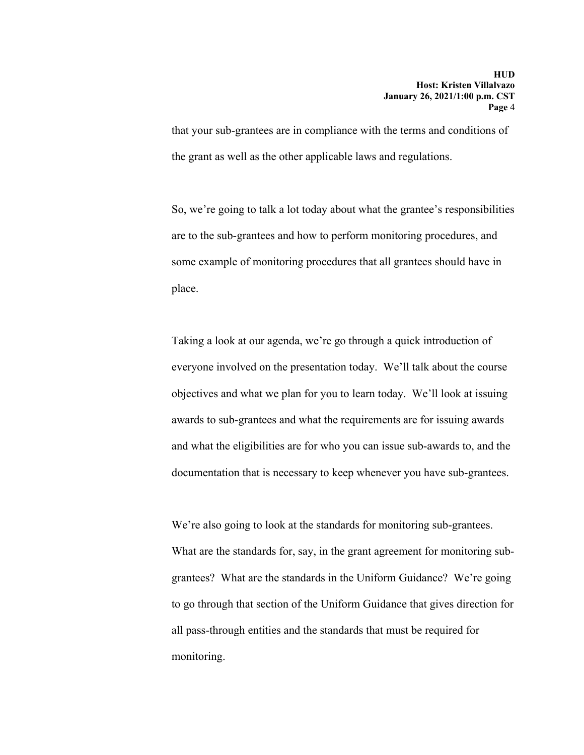the grant as well as the other applicable laws and regulations. that your sub-grantees are in compliance with the terms and conditions of

So, we're going to talk a lot today about what the grantee's responsibilities are to the sub-grantees and how to perform monitoring procedures, and some example of monitoring procedures that all grantees should have in place.

Taking a look at our agenda, we're go through a quick introduction of everyone involved on the presentation today. We'll talk about the course objectives and what we plan for you to learn today. We'll look at issuing awards to sub-grantees and what the requirements are for issuing awards and what the eligibilities are for who you can issue sub-awards to, and the documentation that is necessary to keep whenever you have sub-grantees.

We're also going to look at the standards for monitoring sub-grantees. What are the standards for, say, in the grant agreement for monitoring subgrantees? What are the standards in the Uniform Guidance? We're going to go through that section of the Uniform Guidance that gives direction for all pass-through entities and the standards that must be required for monitoring.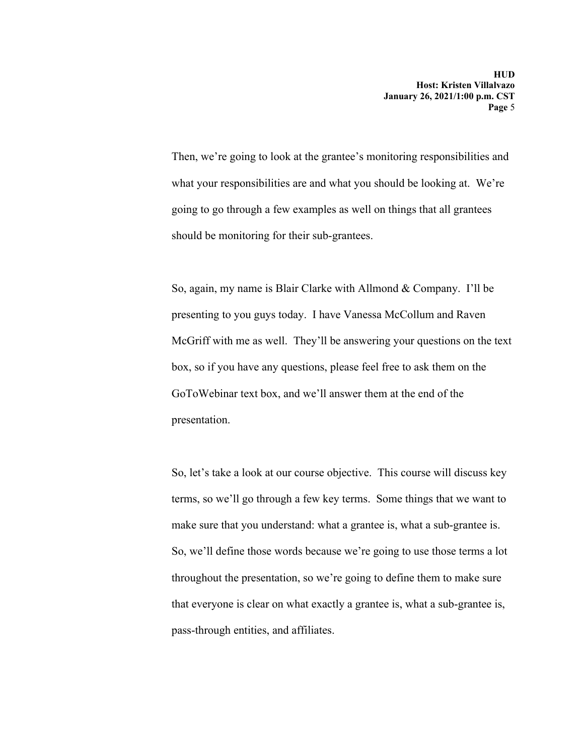Then, we're going to look at the grantee's monitoring responsibilities and what your responsibilities are and what you should be looking at. We're going to go through a few examples as well on things that all grantees should be monitoring for their sub-grantees.

So, again, my name is Blair Clarke with Allmond & Company. I'll be presenting to you guys today. I have Vanessa McCollum and Raven McGriff with me as well. They'll be answering your questions on the text box, so if you have any questions, please feel free to ask them on the GoToWebinar text box, and we'll answer them at the end of the presentation.

So, let's take a look at our course objective. This course will discuss key terms, so we'll go through a few key terms. Some things that we want to make sure that you understand: what a grantee is, what a sub-grantee is. So, we'll define those words because we're going to use those terms a lot throughout the presentation, so we're going to define them to make sure that everyone is clear on what exactly a grantee is, what a sub-grantee is, pass-through entities, and affiliates.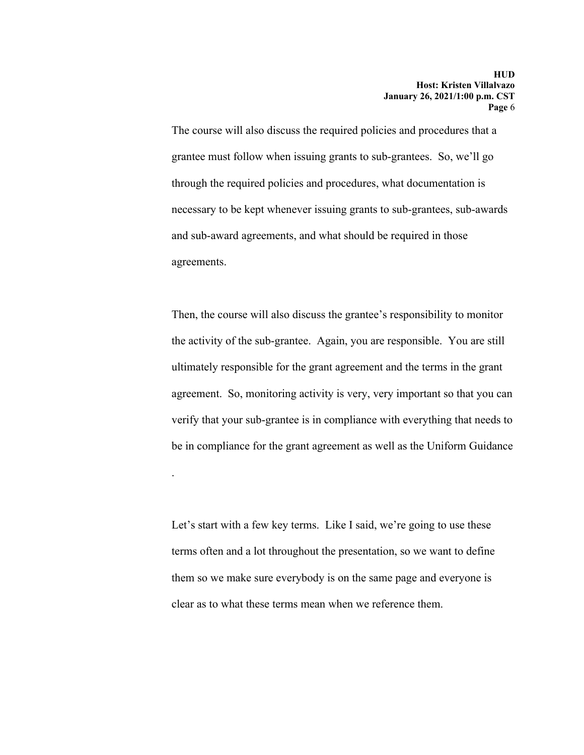The course will also discuss the required policies and procedures that a grantee must follow when issuing grants to sub-grantees. So, we'll go through the required policies and procedures, what documentation is necessary to be kept whenever issuing grants to sub-grantees, sub-awards and sub-award agreements, and what should be required in those agreements.

Then, the course will also discuss the grantee's responsibility to monitor the activity of the sub-grantee. Again, you are responsible. You are still ultimately responsible for the grant agreement and the terms in the grant agreement. So, monitoring activity is very, very important so that you can verify that your sub-grantee is in compliance with everything that needs to be in compliance for the grant agreement as well as the Uniform Guidance

Let's start with a few key terms. Like I said, we're going to use these terms often and a lot throughout the presentation, so we want to define them so we make sure everybody is on the same page and everyone is clear as to what these terms mean when we reference them.

.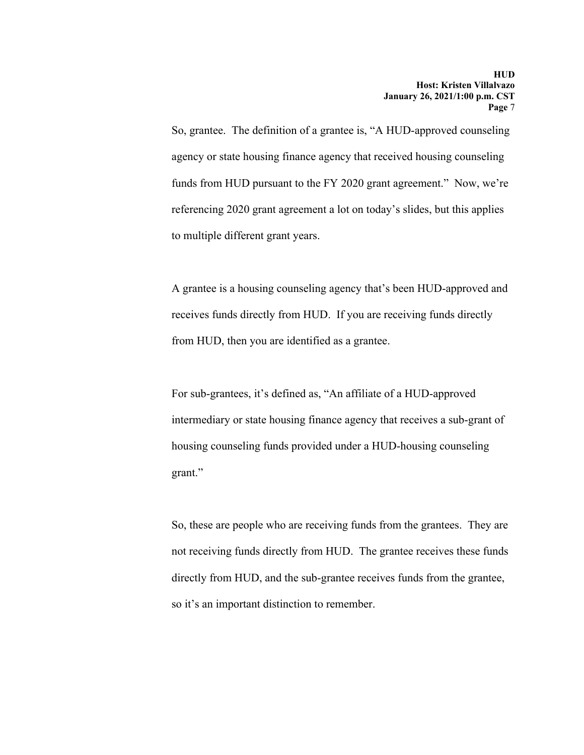So, grantee. The definition of a grantee is, "A HUD-approved counseling agency or state housing finance agency that received housing counseling funds from HUD pursuant to the FY 2020 grant agreement." Now, we're referencing 2020 grant agreement a lot on today's slides, but this applies to multiple different grant years.

A grantee is a housing counseling agency that's been HUD-approved and receives funds directly from HUD. If you are receiving funds directly from HUD, then you are identified as a grantee.

For sub-grantees, it's defined as, "An affiliate of a HUD-approved intermediary or state housing finance agency that receives a sub-grant of housing counseling funds provided under a HUD-housing counseling grant."

So, these are people who are receiving funds from the grantees. They are not receiving funds directly from HUD. The grantee receives these funds directly from HUD, and the sub-grantee receives funds from the grantee, so it's an important distinction to remember.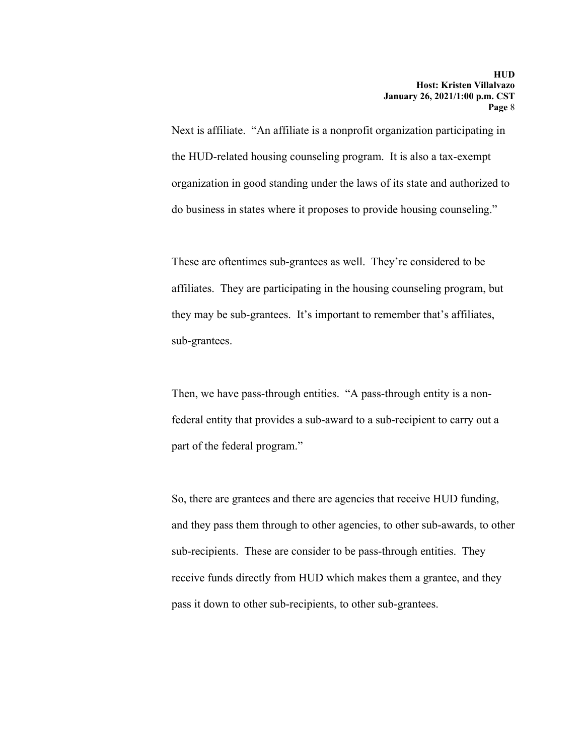Next is affiliate. "An affiliate is a nonprofit organization participating in the HUD-related housing counseling program. It is also a tax-exempt organization in good standing under the laws of its state and authorized to do business in states where it proposes to provide housing counseling."

These are oftentimes sub-grantees as well. They're considered to be affiliates. They are participating in the housing counseling program, but they may be sub-grantees. It's important to remember that's affiliates, sub-grantees.

Then, we have pass-through entities. "A pass-through entity is a nonfederal entity that provides a sub-award to a sub-recipient to carry out a part of the federal program."

So, there are grantees and there are agencies that receive HUD funding, and they pass them through to other agencies, to other sub-awards, to other sub-recipients. These are consider to be pass-through entities. They receive funds directly from HUD which makes them a grantee, and they pass it down to other sub-recipients, to other sub-grantees.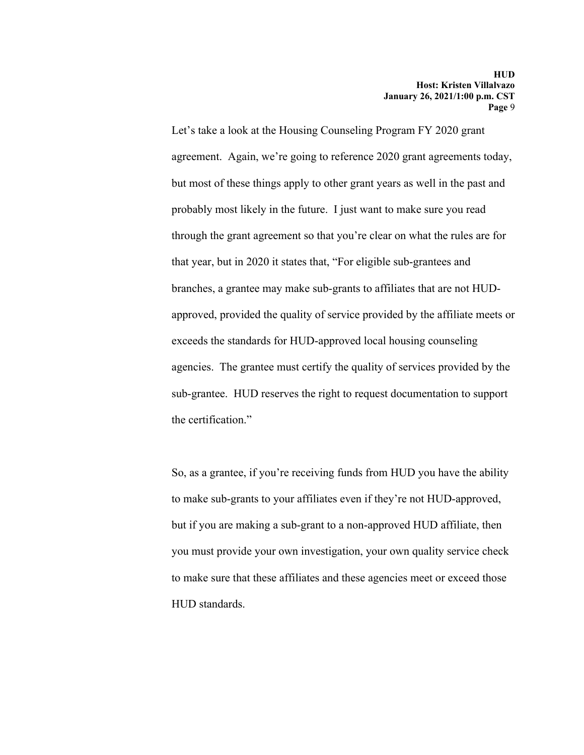Let's take a look at the Housing Counseling Program FY 2020 grant agreement. Again, we're going to reference 2020 grant agreements today, but most of these things apply to other grant years as well in the past and probably most likely in the future. I just want to make sure you read through the grant agreement so that you're clear on what the rules are for that year, but in 2020 it states that, "For eligible sub-grantees and branches, a grantee may make sub-grants to affiliates that are not HUDapproved, provided the quality of service provided by the affiliate meets or exceeds the standards for HUD-approved local housing counseling agencies. The grantee must certify the quality of services provided by the sub-grantee. HUD reserves the right to request documentation to support the certification."

So, as a grantee, if you're receiving funds from HUD you have the ability to make sub-grants to your affiliates even if they're not HUD-approved, but if you are making a sub-grant to a non-approved HUD affiliate, then you must provide your own investigation, your own quality service check to make sure that these affiliates and these agencies meet or exceed those HUD standards.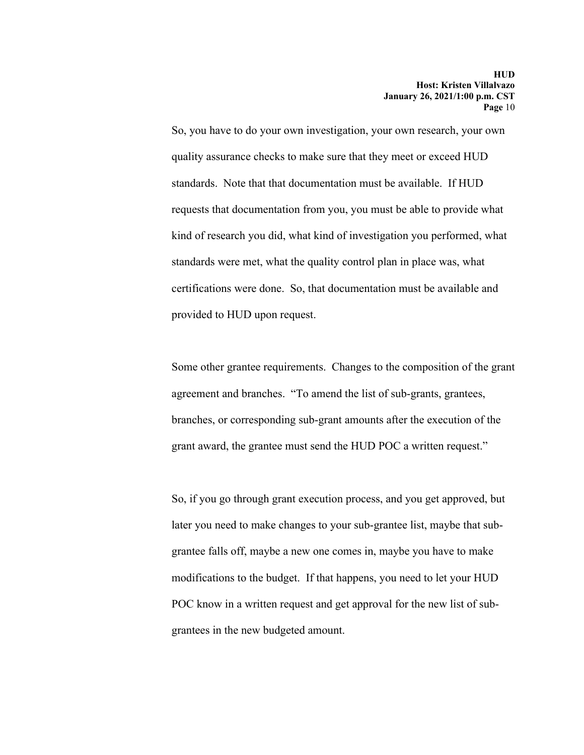So, you have to do your own investigation, your own research, your own quality assurance checks to make sure that they meet or exceed HUD standards. Note that that documentation must be available. If HUD requests that documentation from you, you must be able to provide what kind of research you did, what kind of investigation you performed, what standards were met, what the quality control plan in place was, what certifications were done. So, that documentation must be available and provided to HUD upon request.

Some other grantee requirements. Changes to the composition of the grant agreement and branches. "To amend the list of sub-grants, grantees, branches, or corresponding sub-grant amounts after the execution of the grant award, the grantee must send the HUD POC a written request."

So, if you go through grant execution process, and you get approved, but later you need to make changes to your sub-grantee list, maybe that subgrantee falls off, maybe a new one comes in, maybe you have to make modifications to the budget. If that happens, you need to let your HUD POC know in a written request and get approval for the new list of subgrantees in the new budgeted amount.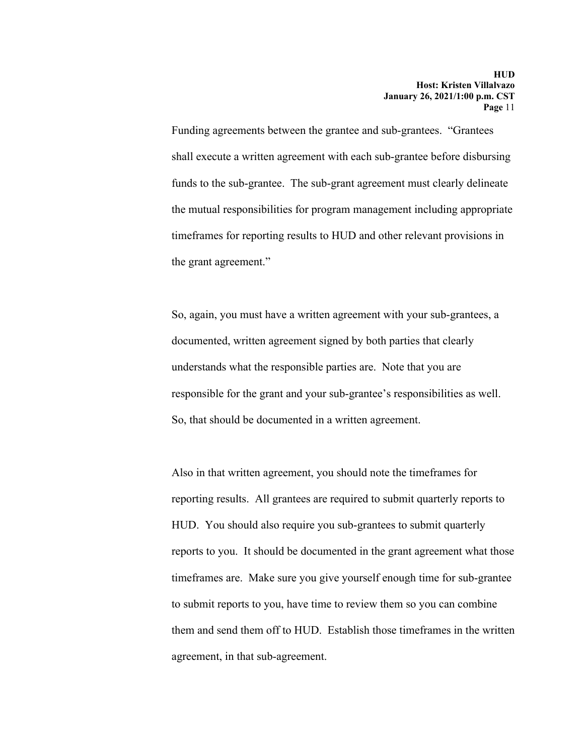Funding agreements between the grantee and sub-grantees. "Grantees shall execute a written agreement with each sub-grantee before disbursing funds to the sub-grantee. The sub-grant agreement must clearly delineate the mutual responsibilities for program management including appropriate timeframes for reporting results to HUD and other relevant provisions in the grant agreement."

So, again, you must have a written agreement with your sub-grantees, a documented, written agreement signed by both parties that clearly understands what the responsible parties are. Note that you are responsible for the grant and your sub-grantee's responsibilities as well. So, that should be documented in a written agreement.

Also in that written agreement, you should note the timeframes for reporting results. All grantees are required to submit quarterly reports to HUD. You should also require you sub-grantees to submit quarterly reports to you. It should be documented in the grant agreement what those timeframes are. Make sure you give yourself enough time for sub-grantee to submit reports to you, have time to review them so you can combine them and send them off to HUD. Establish those timeframes in the written agreement, in that sub-agreement.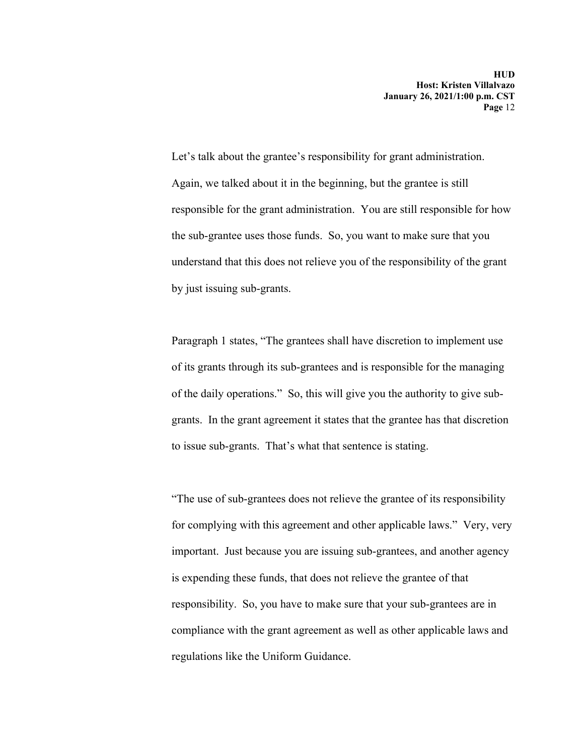Let's talk about the grantee's responsibility for grant administration. Again, we talked about it in the beginning, but the grantee is still responsible for the grant administration. You are still responsible for how the sub-grantee uses those funds. So, you want to make sure that you understand that this does not relieve you of the responsibility of the grant by just issuing sub-grants.

Paragraph 1 states, "The grantees shall have discretion to implement use of its grants through its sub-grantees and is responsible for the managing of the daily operations." So, this will give you the authority to give subgrants. In the grant agreement it states that the grantee has that discretion to issue sub-grants. That's what that sentence is stating.

"The use of sub-grantees does not relieve the grantee of its responsibility for complying with this agreement and other applicable laws." Very, very important. Just because you are issuing sub-grantees, and another agency is expending these funds, that does not relieve the grantee of that responsibility. So, you have to make sure that your sub-grantees are in compliance with the grant agreement as well as other applicable laws and regulations like the Uniform Guidance.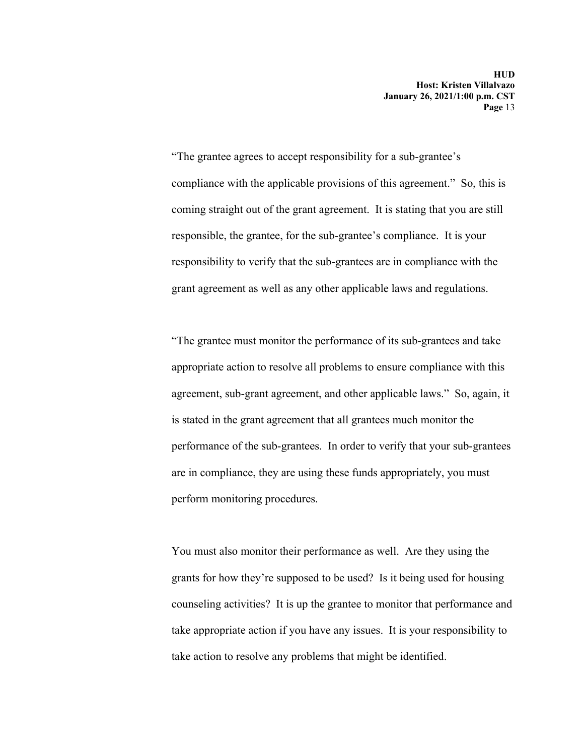"The grantee agrees to accept responsibility for a sub-grantee's compliance with the applicable provisions of this agreement." So, this is coming straight out of the grant agreement. It is stating that you are still responsible, the grantee, for the sub-grantee's compliance. It is your responsibility to verify that the sub-grantees are in compliance with the grant agreement as well as any other applicable laws and regulations.

"The grantee must monitor the performance of its sub-grantees and take appropriate action to resolve all problems to ensure compliance with this agreement, sub-grant agreement, and other applicable laws." So, again, it is stated in the grant agreement that all grantees much monitor the performance of the sub-grantees. In order to verify that your sub-grantees are in compliance, they are using these funds appropriately, you must perform monitoring procedures.

You must also monitor their performance as well. Are they using the grants for how they're supposed to be used? Is it being used for housing counseling activities? It is up the grantee to monitor that performance and take appropriate action if you have any issues. It is your responsibility to take action to resolve any problems that might be identified.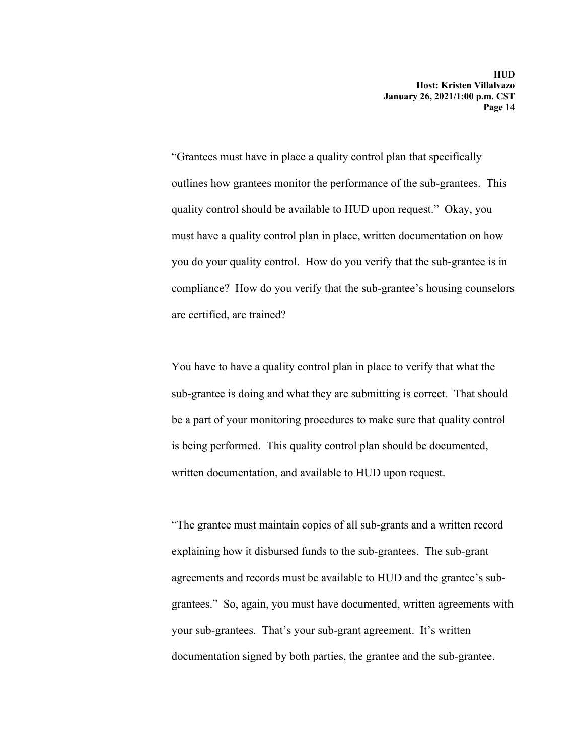"Grantees must have in place a quality control plan that specifically outlines how grantees monitor the performance of the sub-grantees. This quality control should be available to HUD upon request." Okay, you must have a quality control plan in place, written documentation on how you do your quality control. How do you verify that the sub-grantee is in compliance? How do you verify that the sub-grantee's housing counselors are certified, are trained?

You have to have a quality control plan in place to verify that what the sub-grantee is doing and what they are submitting is correct. That should be a part of your monitoring procedures to make sure that quality control is being performed. This quality control plan should be documented, written documentation, and available to HUD upon request.

"The grantee must maintain copies of all sub-grants and a written record explaining how it disbursed funds to the sub-grantees. The sub-grant agreements and records must be available to HUD and the grantee's subgrantees." So, again, you must have documented, written agreements with your sub-grantees. That's your sub-grant agreement. It's written documentation signed by both parties, the grantee and the sub-grantee.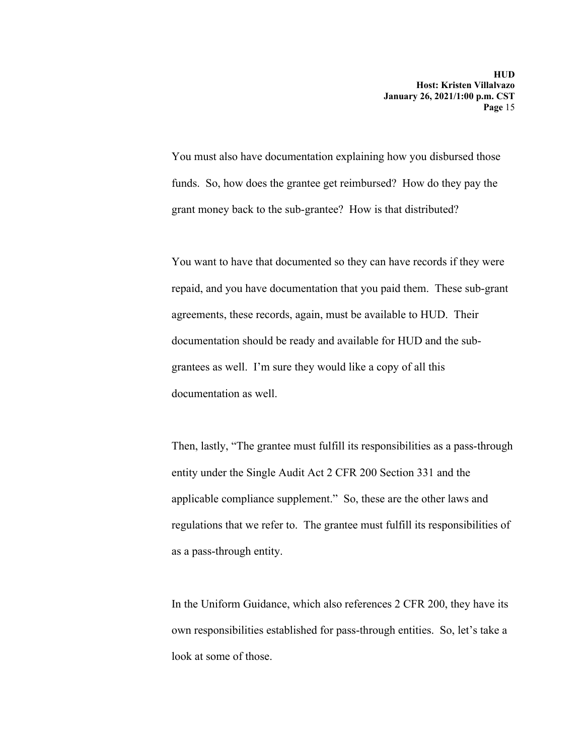You must also have documentation explaining how you disbursed those funds. So, how does the grantee get reimbursed? How do they pay the grant money back to the sub-grantee? How is that distributed?

You want to have that documented so they can have records if they were repaid, and you have documentation that you paid them. These sub-grant agreements, these records, again, must be available to HUD. Their documentation should be ready and available for HUD and the subgrantees as well. I'm sure they would like a copy of all this documentation as well.

Then, lastly, "The grantee must fulfill its responsibilities as a pass-through entity under the Single Audit Act 2 CFR 200 Section 331 and the applicable compliance supplement." So, these are the other laws and regulations that we refer to. The grantee must fulfill its responsibilities of as a pass-through entity.

In the Uniform Guidance, which also references 2 CFR 200, they have its own responsibilities established for pass-through entities. So, let's take a look at some of those.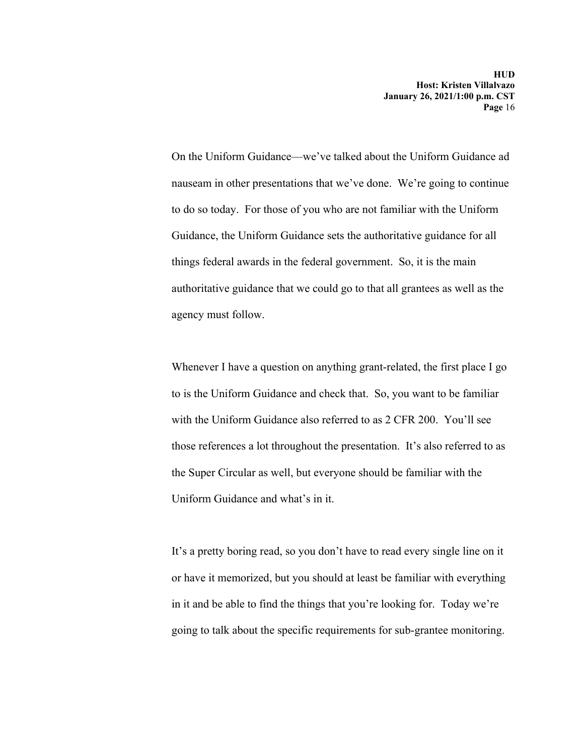On the Uniform Guidance—we've talked about the Uniform Guidance ad nauseam in other presentations that we've done. We're going to continue to do so today. For those of you who are not familiar with the Uniform Guidance, the Uniform Guidance sets the authoritative guidance for all things federal awards in the federal government. So, it is the main authoritative guidance that we could go to that all grantees as well as the agency must follow.

Whenever I have a question on anything grant-related, the first place I go to is the Uniform Guidance and check that. So, you want to be familiar with the Uniform Guidance also referred to as 2 CFR 200. You'll see those references a lot throughout the presentation. It's also referred to as the Super Circular as well, but everyone should be familiar with the Uniform Guidance and what's in it.

It's a pretty boring read, so you don't have to read every single line on it or have it memorized, but you should at least be familiar with everything in it and be able to find the things that you're looking for. Today we're going to talk about the specific requirements for sub-grantee monitoring.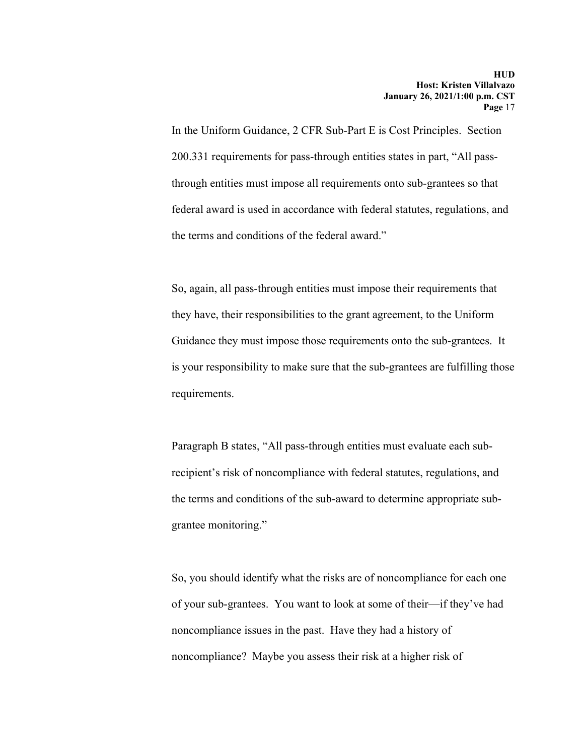In the Uniform Guidance, 2 CFR Sub-Part E is Cost Principles. Section 200.331 requirements for pass-through entities states in part, "All passthrough entities must impose all requirements onto sub-grantees so that federal award is used in accordance with federal statutes, regulations, and the terms and conditions of the federal award."

So, again, all pass-through entities must impose their requirements that they have, their responsibilities to the grant agreement, to the Uniform Guidance they must impose those requirements onto the sub-grantees. It is your responsibility to make sure that the sub-grantees are fulfilling those requirements.

Paragraph B states, "All pass-through entities must evaluate each subrecipient's risk of noncompliance with federal statutes, regulations, and the terms and conditions of the sub-award to determine appropriate subgrantee monitoring."

So, you should identify what the risks are of noncompliance for each one of your sub-grantees. You want to look at some of their—if they've had noncompliance issues in the past. Have they had a history of noncompliance? Maybe you assess their risk at a higher risk of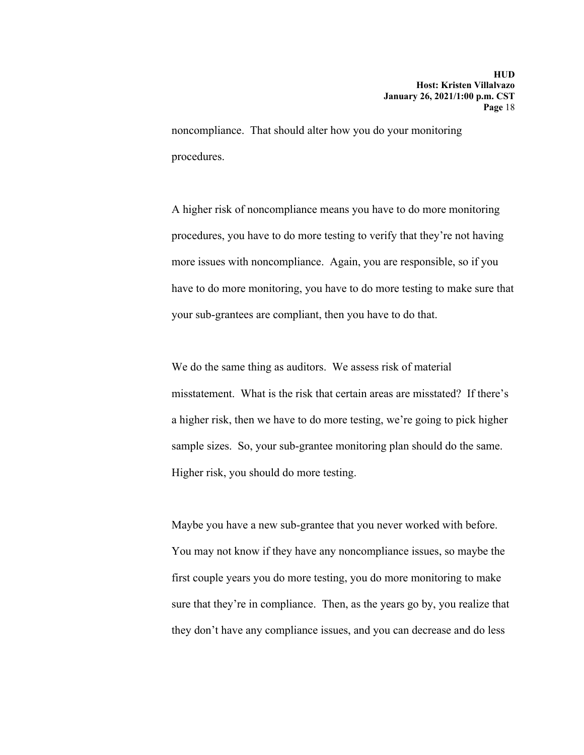noncompliance. That should alter how you do your monitoring procedures.

A higher risk of noncompliance means you have to do more monitoring procedures, you have to do more testing to verify that they're not having more issues with noncompliance. Again, you are responsible, so if you have to do more monitoring, you have to do more testing to make sure that your sub-grantees are compliant, then you have to do that.

We do the same thing as auditors. We assess risk of material misstatement. What is the risk that certain areas are misstated? If there's a higher risk, then we have to do more testing, we're going to pick higher sample sizes. So, your sub-grantee monitoring plan should do the same. Higher risk, you should do more testing.

Maybe you have a new sub-grantee that you never worked with before. You may not know if they have any noncompliance issues, so maybe the first couple years you do more testing, you do more monitoring to make sure that they're in compliance. Then, as the years go by, you realize that they don't have any compliance issues, and you can decrease and do less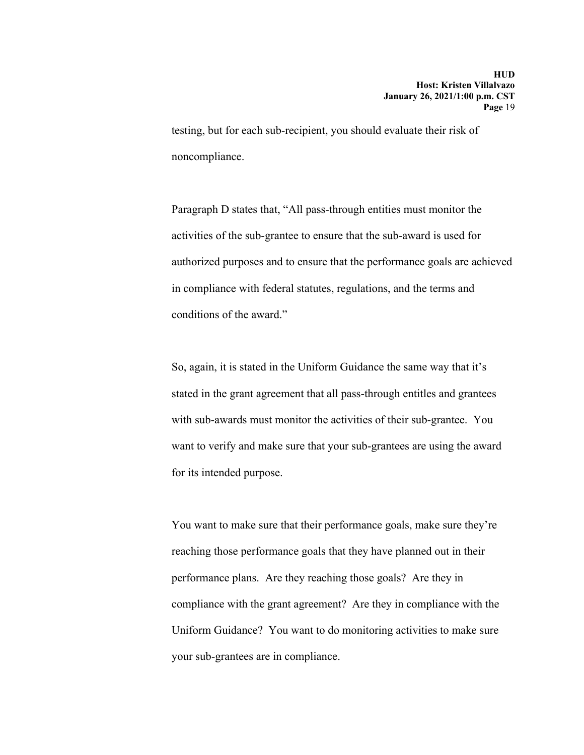testing, but for each sub-recipient, you should evaluate their risk of noncompliance.

Paragraph D states that, "All pass-through entities must monitor the activities of the sub-grantee to ensure that the sub-award is used for authorized purposes and to ensure that the performance goals are achieved in compliance with federal statutes, regulations, and the terms and conditions of the award."

So, again, it is stated in the Uniform Guidance the same way that it's stated in the grant agreement that all pass-through entitles and grantees with sub-awards must monitor the activities of their sub-grantee. You want to verify and make sure that your sub-grantees are using the award for its intended purpose.

You want to make sure that their performance goals, make sure they're reaching those performance goals that they have planned out in their performance plans. Are they reaching those goals? Are they in compliance with the grant agreement? Are they in compliance with the Uniform Guidance? You want to do monitoring activities to make sure your sub-grantees are in compliance.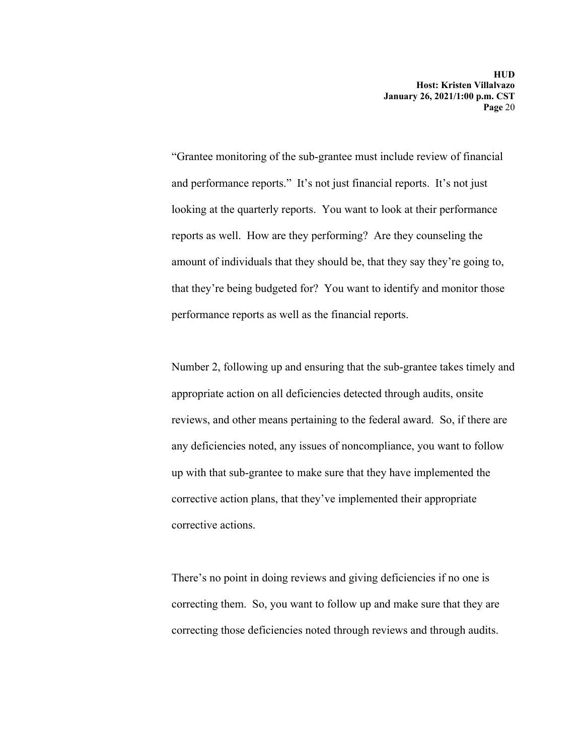"Grantee monitoring of the sub-grantee must include review of financial and performance reports." It's not just financial reports. It's not just looking at the quarterly reports. You want to look at their performance reports as well. How are they performing? Are they counseling the amount of individuals that they should be, that they say they're going to, that they're being budgeted for? You want to identify and monitor those performance reports as well as the financial reports.

Number 2, following up and ensuring that the sub-grantee takes timely and appropriate action on all deficiencies detected through audits, onsite reviews, and other means pertaining to the federal award. So, if there are any deficiencies noted, any issues of noncompliance, you want to follow up with that sub-grantee to make sure that they have implemented the corrective action plans, that they've implemented their appropriate corrective actions.

There's no point in doing reviews and giving deficiencies if no one is correcting them. So, you want to follow up and make sure that they are correcting those deficiencies noted through reviews and through audits.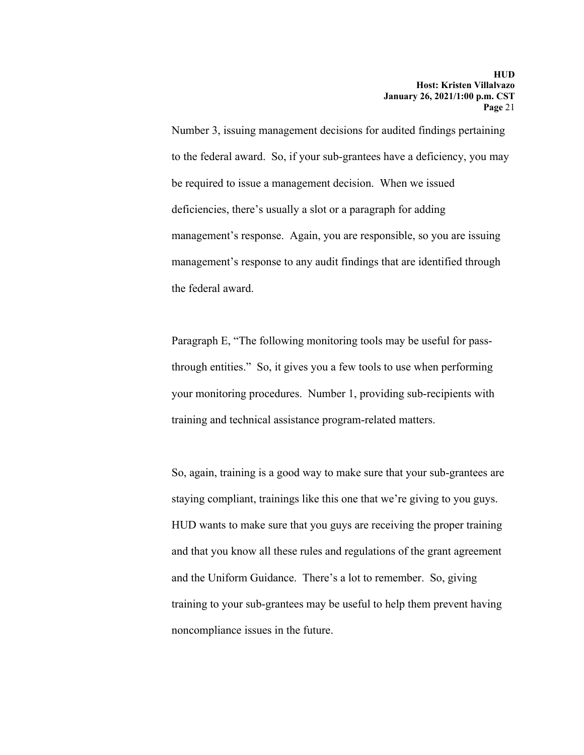Number 3, issuing management decisions for audited findings pertaining to the federal award. So, if your sub-grantees have a deficiency, you may be required to issue a management decision. When we issued deficiencies, there's usually a slot or a paragraph for adding management's response. Again, you are responsible, so you are issuing management's response to any audit findings that are identified through the federal award.

Paragraph E, "The following monitoring tools may be useful for passthrough entities." So, it gives you a few tools to use when performing your monitoring procedures. Number 1, providing sub-recipients with training and technical assistance program-related matters.

So, again, training is a good way to make sure that your sub-grantees are staying compliant, trainings like this one that we're giving to you guys. HUD wants to make sure that you guys are receiving the proper training and that you know all these rules and regulations of the grant agreement and the Uniform Guidance. There's a lot to remember. So, giving training to your sub-grantees may be useful to help them prevent having noncompliance issues in the future.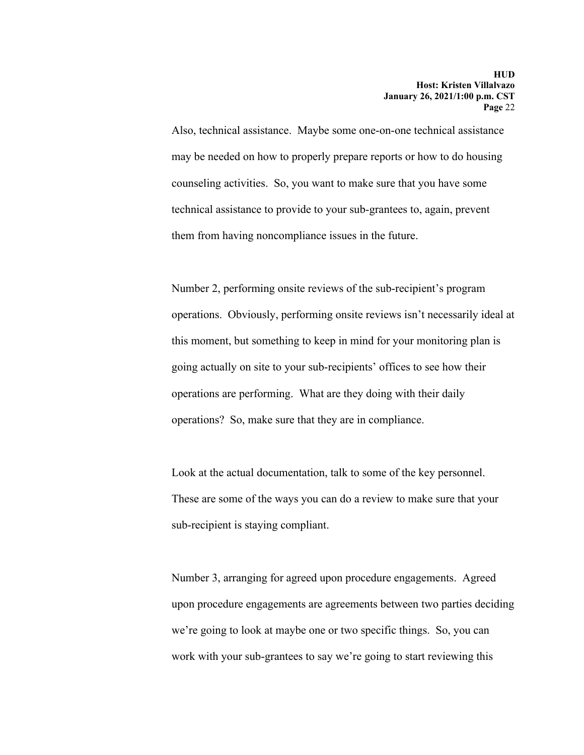Also, technical assistance. Maybe some one-on-one technical assistance may be needed on how to properly prepare reports or how to do housing counseling activities. So, you want to make sure that you have some technical assistance to provide to your sub-grantees to, again, prevent them from having noncompliance issues in the future.

Number 2, performing onsite reviews of the sub-recipient's program operations. Obviously, performing onsite reviews isn't necessarily ideal at this moment, but something to keep in mind for your monitoring plan is going actually on site to your sub-recipients' offices to see how their operations are performing. What are they doing with their daily operations? So, make sure that they are in compliance.

Look at the actual documentation, talk to some of the key personnel. These are some of the ways you can do a review to make sure that your sub-recipient is staying compliant.

Number 3, arranging for agreed upon procedure engagements. Agreed upon procedure engagements are agreements between two parties deciding we're going to look at maybe one or two specific things. So, you can work with your sub-grantees to say we're going to start reviewing this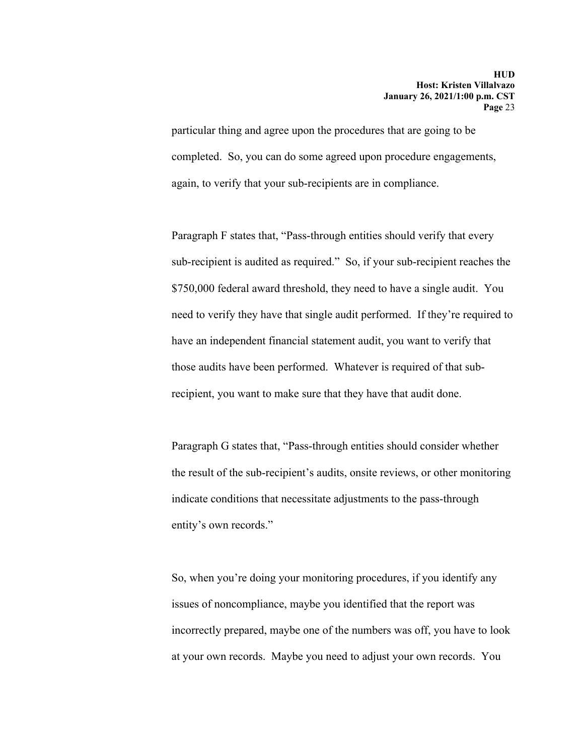particular thing and agree upon the procedures that are going to be completed. So, you can do some agreed upon procedure engagements, again, to verify that your sub-recipients are in compliance.

Paragraph F states that, "Pass-through entities should verify that every sub-recipient is audited as required." So, if your sub-recipient reaches the \$750,000 federal award threshold, they need to have a single audit. You need to verify they have that single audit performed. If they're required to have an independent financial statement audit, you want to verify that those audits have been performed. Whatever is required of that subrecipient, you want to make sure that they have that audit done.

Paragraph G states that, "Pass-through entities should consider whether the result of the sub-recipient's audits, onsite reviews, or other monitoring indicate conditions that necessitate adjustments to the pass-through entity's own records."

So, when you're doing your monitoring procedures, if you identify any issues of noncompliance, maybe you identified that the report was incorrectly prepared, maybe one of the numbers was off, you have to look at your own records. Maybe you need to adjust your own records. You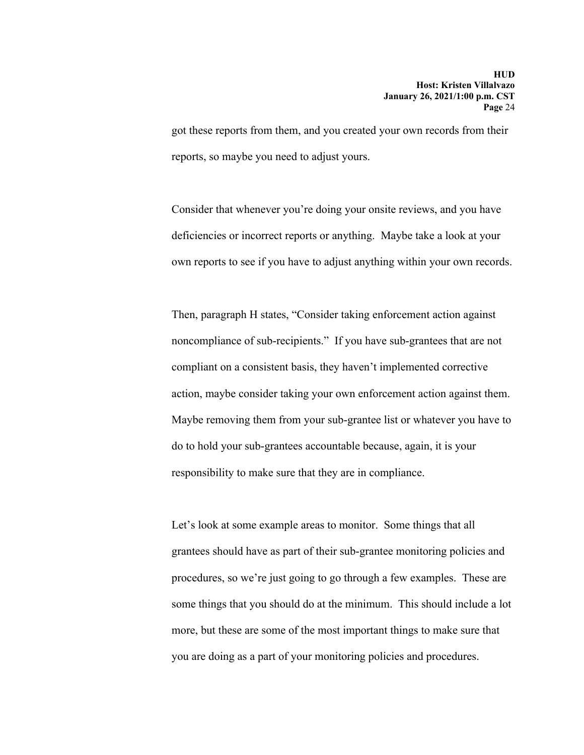got these reports from them, and you created your own records from their reports, so maybe you need to adjust yours.

Consider that whenever you're doing your onsite reviews, and you have deficiencies or incorrect reports or anything. Maybe take a look at your own reports to see if you have to adjust anything within your own records.

Then, paragraph H states, "Consider taking enforcement action against noncompliance of sub-recipients." If you have sub-grantees that are not compliant on a consistent basis, they haven't implemented corrective action, maybe consider taking your own enforcement action against them. Maybe removing them from your sub-grantee list or whatever you have to do to hold your sub-grantees accountable because, again, it is your responsibility to make sure that they are in compliance.

Let's look at some example areas to monitor. Some things that all grantees should have as part of their sub-grantee monitoring policies and procedures, so we're just going to go through a few examples. These are some things that you should do at the minimum. This should include a lot more, but these are some of the most important things to make sure that you are doing as a part of your monitoring policies and procedures.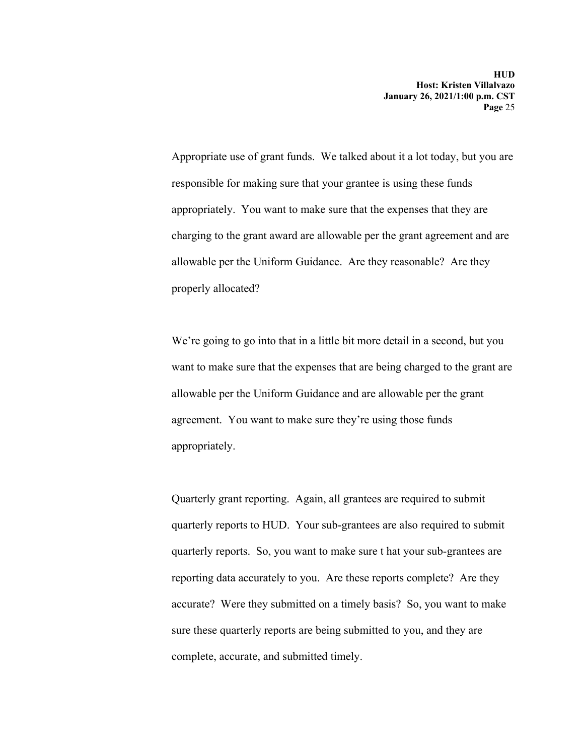Appropriate use of grant funds. We talked about it a lot today, but you are responsible for making sure that your grantee is using these funds appropriately. You want to make sure that the expenses that they are charging to the grant award are allowable per the grant agreement and are allowable per the Uniform Guidance. Are they reasonable? Are they properly allocated?

We're going to go into that in a little bit more detail in a second, but you want to make sure that the expenses that are being charged to the grant are allowable per the Uniform Guidance and are allowable per the grant agreement. You want to make sure they're using those funds appropriately.

Quarterly grant reporting. Again, all grantees are required to submit quarterly reports to HUD. Your sub-grantees are also required to submit quarterly reports. So, you want to make sure t hat your sub-grantees are reporting data accurately to you. Are these reports complete? Are they accurate? Were they submitted on a timely basis? So, you want to make sure these quarterly reports are being submitted to you, and they are complete, accurate, and submitted timely.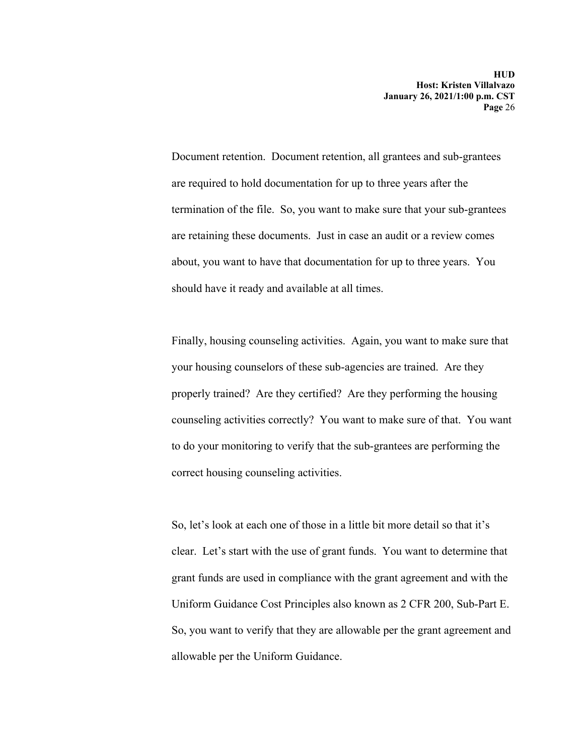Document retention. Document retention, all grantees and sub-grantees are required to hold documentation for up to three years after the termination of the file. So, you want to make sure that your sub-grantees are retaining these documents. Just in case an audit or a review comes about, you want to have that documentation for up to three years. You should have it ready and available at all times.

Finally, housing counseling activities. Again, you want to make sure that your housing counselors of these sub-agencies are trained. Are they properly trained? Are they certified? Are they performing the housing counseling activities correctly? You want to make sure of that. You want to do your monitoring to verify that the sub-grantees are performing the correct housing counseling activities.

 allowable per the Uniform Guidance. So, let's look at each one of those in a little bit more detail so that it's clear. Let's start with the use of grant funds. You want to determine that grant funds are used in compliance with the grant agreement and with the Uniform Guidance Cost Principles also known as 2 CFR 200, Sub-Part E. So, you want to verify that they are allowable per the grant agreement and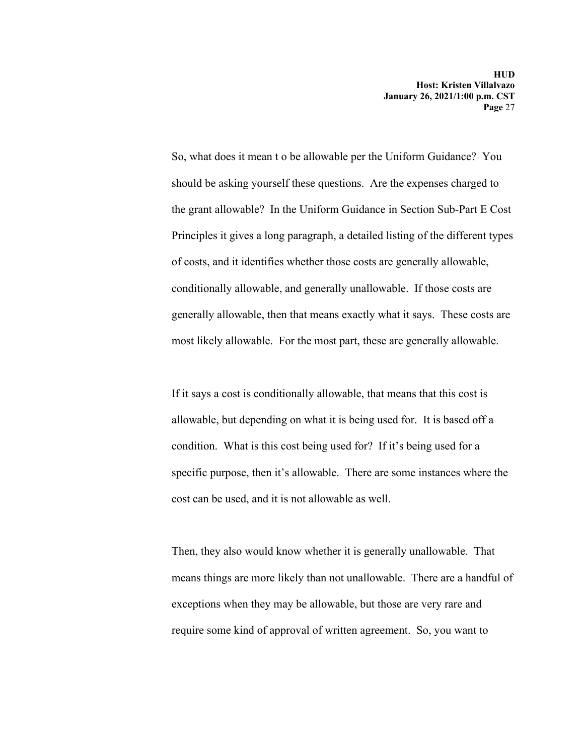So, what does it mean t o be allowable per the Uniform Guidance? You should be asking yourself these questions. Are the expenses charged to the grant allowable? In the Uniform Guidance in Section Sub-Part E Cost Principles it gives a long paragraph, a detailed listing of the different types of costs, and it identifies whether those costs are generally allowable, conditionally allowable, and generally unallowable. If those costs are generally allowable, then that means exactly what it says. These costs are most likely allowable. For the most part, these are generally allowable.

If it says a cost is conditionally allowable, that means that this cost is allowable, but depending on what it is being used for. It is based off a condition. What is this cost being used for? If it's being used for a specific purpose, then it's allowable. There are some instances where the cost can be used, and it is not allowable as well.

Then, they also would know whether it is generally unallowable. That means things are more likely than not unallowable. There are a handful of exceptions when they may be allowable, but those are very rare and require some kind of approval of written agreement. So, you want to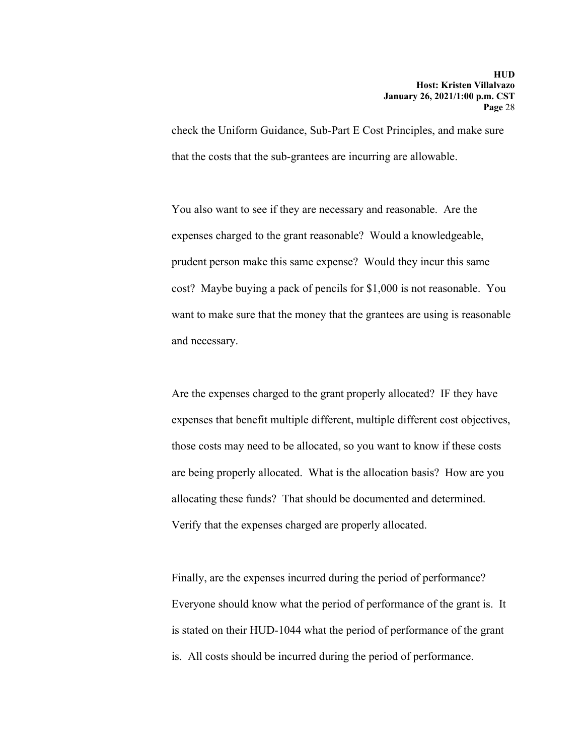check the Uniform Guidance, Sub-Part E Cost Principles, and make sure that the costs that the sub-grantees are incurring are allowable.

You also want to see if they are necessary and reasonable. Are the expenses charged to the grant reasonable? Would a knowledgeable, prudent person make this same expense? Would they incur this same cost? Maybe buying a pack of pencils for \$1,000 is not reasonable. You want to make sure that the money that the grantees are using is reasonable and necessary.

Are the expenses charged to the grant properly allocated? IF they have expenses that benefit multiple different, multiple different cost objectives, those costs may need to be allocated, so you want to know if these costs are being properly allocated. What is the allocation basis? How are you allocating these funds? That should be documented and determined. Verify that the expenses charged are properly allocated.

Finally, are the expenses incurred during the period of performance? Everyone should know what the period of performance of the grant is. It is stated on their HUD-1044 what the period of performance of the grant is. All costs should be incurred during the period of performance.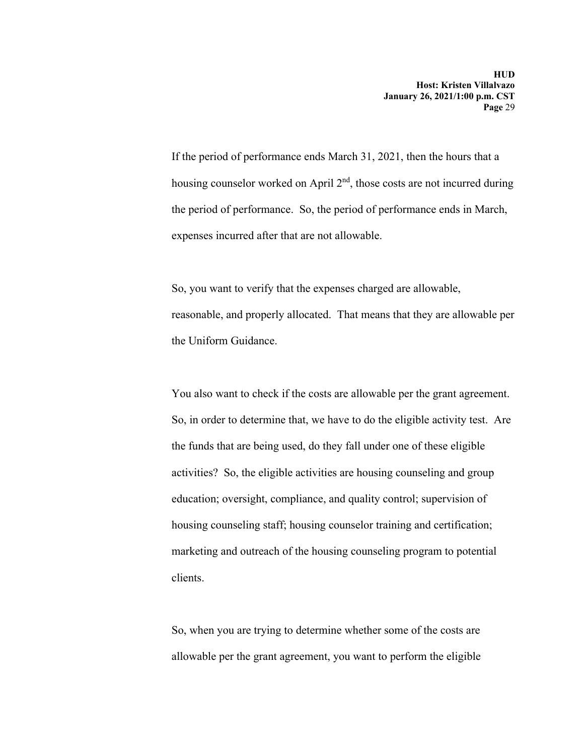If the period of performance ends March 31, 2021, then the hours that a housing counselor worked on April  $2<sup>nd</sup>$ , those costs are not incurred during the period of performance. So, the period of performance ends in March, expenses incurred after that are not allowable.

So, you want to verify that the expenses charged are allowable, reasonable, and properly allocated. That means that they are allowable per the Uniform Guidance.

You also want to check if the costs are allowable per the grant agreement. So, in order to determine that, we have to do the eligible activity test. Are the funds that are being used, do they fall under one of these eligible activities? So, the eligible activities are housing counseling and group education; oversight, compliance, and quality control; supervision of housing counseling staff; housing counselor training and certification; marketing and outreach of the housing counseling program to potential clients.

So, when you are trying to determine whether some of the costs are allowable per the grant agreement, you want to perform the eligible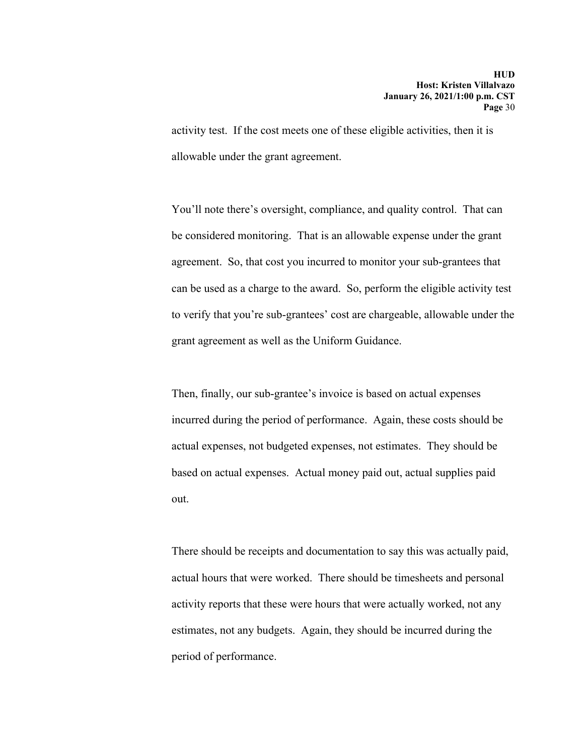activity test. If the cost meets one of these eligible activities, then it is allowable under the grant agreement.

You'll note there's oversight, compliance, and quality control. That can be considered monitoring. That is an allowable expense under the grant agreement. So, that cost you incurred to monitor your sub-grantees that can be used as a charge to the award. So, perform the eligible activity test to verify that you're sub-grantees' cost are chargeable, allowable under the grant agreement as well as the Uniform Guidance.

Then, finally, our sub-grantee's invoice is based on actual expenses incurred during the period of performance. Again, these costs should be actual expenses, not budgeted expenses, not estimates. They should be based on actual expenses. Actual money paid out, actual supplies paid out.

There should be receipts and documentation to say this was actually paid, actual hours that were worked. There should be timesheets and personal activity reports that these were hours that were actually worked, not any estimates, not any budgets. Again, they should be incurred during the period of performance.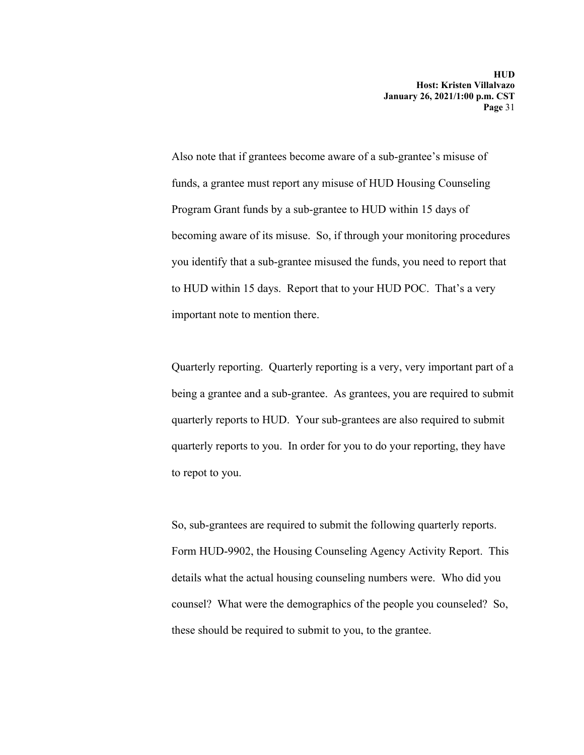Also note that if grantees become aware of a sub-grantee's misuse of funds, a grantee must report any misuse of HUD Housing Counseling Program Grant funds by a sub-grantee to HUD within 15 days of becoming aware of its misuse. So, if through your monitoring procedures you identify that a sub-grantee misused the funds, you need to report that to HUD within 15 days. Report that to your HUD POC. That's a very important note to mention there.

Quarterly reporting. Quarterly reporting is a very, very important part of a being a grantee and a sub-grantee. As grantees, you are required to submit quarterly reports to HUD. Your sub-grantees are also required to submit quarterly reports to you. In order for you to do your reporting, they have to repot to you.

So, sub-grantees are required to submit the following quarterly reports. Form HUD-9902, the Housing Counseling Agency Activity Report. This details what the actual housing counseling numbers were. Who did you counsel? What were the demographics of the people you counseled? So, these should be required to submit to you, to the grantee.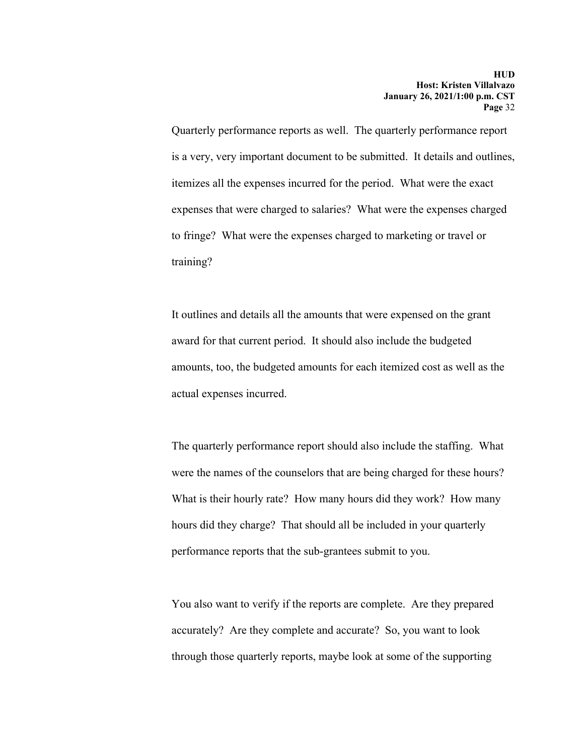Quarterly performance reports as well. The quarterly performance report is a very, very important document to be submitted. It details and outlines, itemizes all the expenses incurred for the period. What were the exact expenses that were charged to salaries? What were the expenses charged to fringe? What were the expenses charged to marketing or travel or training?

It outlines and details all the amounts that were expensed on the grant award for that current period. It should also include the budgeted amounts, too, the budgeted amounts for each itemized cost as well as the actual expenses incurred.

The quarterly performance report should also include the staffing. What were the names of the counselors that are being charged for these hours? What is their hourly rate? How many hours did they work? How many hours did they charge? That should all be included in your quarterly performance reports that the sub-grantees submit to you.

You also want to verify if the reports are complete. Are they prepared accurately? Are they complete and accurate? So, you want to look through those quarterly reports, maybe look at some of the supporting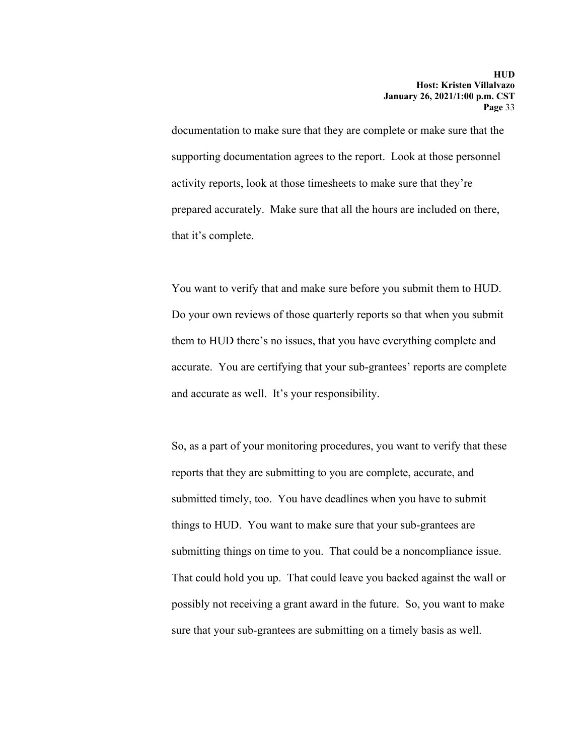documentation to make sure that they are complete or make sure that the supporting documentation agrees to the report. Look at those personnel activity reports, look at those timesheets to make sure that they're prepared accurately. Make sure that all the hours are included on there, that it's complete.

You want to verify that and make sure before you submit them to HUD. Do your own reviews of those quarterly reports so that when you submit them to HUD there's no issues, that you have everything complete and accurate. You are certifying that your sub-grantees' reports are complete and accurate as well. It's your responsibility.

So, as a part of your monitoring procedures, you want to verify that these reports that they are submitting to you are complete, accurate, and submitted timely, too. You have deadlines when you have to submit things to HUD. You want to make sure that your sub-grantees are submitting things on time to you. That could be a noncompliance issue. That could hold you up. That could leave you backed against the wall or possibly not receiving a grant award in the future. So, you want to make sure that your sub-grantees are submitting on a timely basis as well.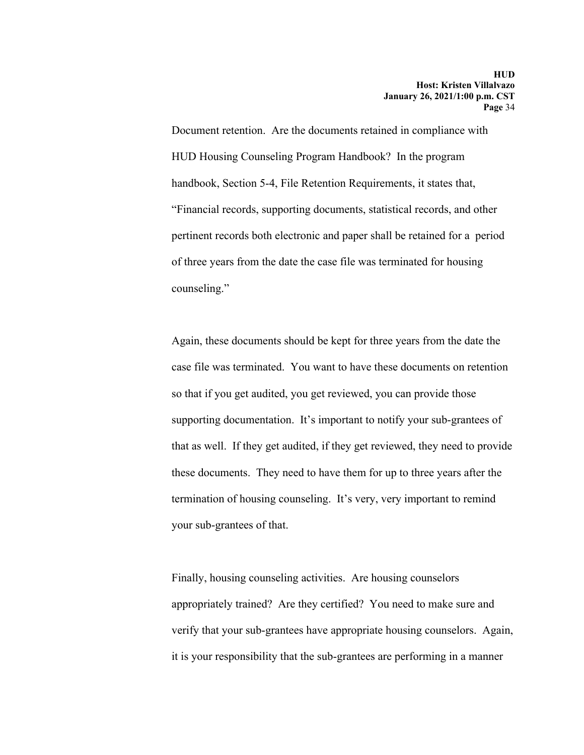Document retention. Are the documents retained in compliance with HUD Housing Counseling Program Handbook? In the program handbook, Section 5-4, File Retention Requirements, it states that, "Financial records, supporting documents, statistical records, and other pertinent records both electronic and paper shall be retained for a period of three years from the date the case file was terminated for housing counseling."

Again, these documents should be kept for three years from the date the case file was terminated. You want to have these documents on retention so that if you get audited, you get reviewed, you can provide those supporting documentation. It's important to notify your sub-grantees of that as well. If they get audited, if they get reviewed, they need to provide these documents. They need to have them for up to three years after the termination of housing counseling. It's very, very important to remind your sub-grantees of that.

Finally, housing counseling activities. Are housing counselors appropriately trained? Are they certified? You need to make sure and verify that your sub-grantees have appropriate housing counselors. Again, it is your responsibility that the sub-grantees are performing in a manner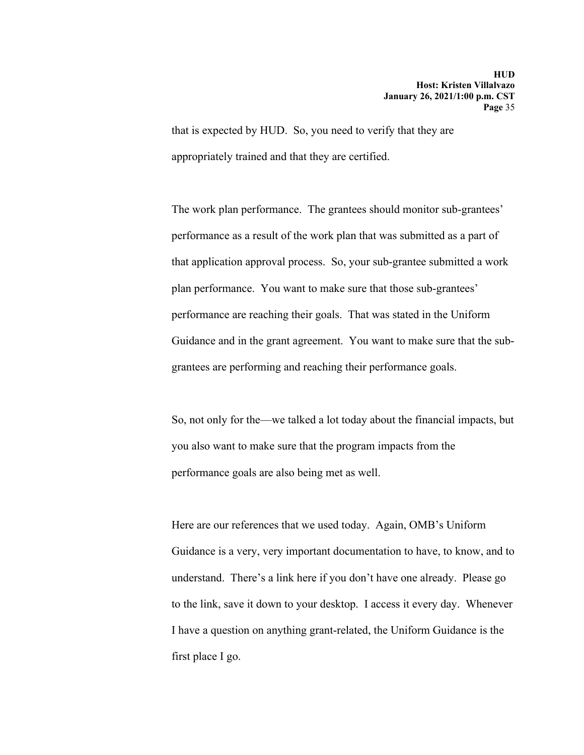that is expected by HUD. So, you need to verify that they are appropriately trained and that they are certified.

 Guidance and in the grant agreement. You want to make sure that the sub-The work plan performance. The grantees should monitor sub-grantees' performance as a result of the work plan that was submitted as a part of that application approval process. So, your sub-grantee submitted a work plan performance. You want to make sure that those sub-grantees' performance are reaching their goals. That was stated in the Uniform grantees are performing and reaching their performance goals.

So, not only for the—we talked a lot today about the financial impacts, but you also want to make sure that the program impacts from the performance goals are also being met as well.

Here are our references that we used today. Again, OMB's Uniform Guidance is a very, very important documentation to have, to know, and to understand. There's a link here if you don't have one already. Please go to the link, save it down to your desktop. I access it every day. Whenever I have a question on anything grant-related, the Uniform Guidance is the first place I go.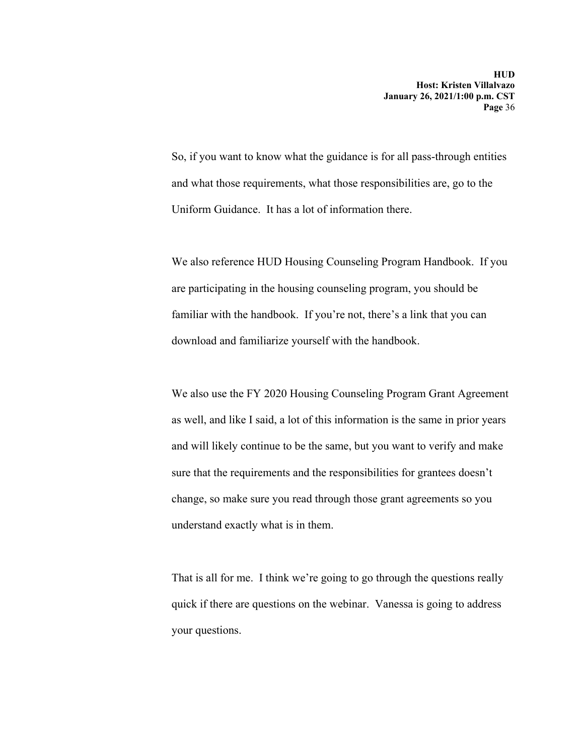So, if you want to know what the guidance is for all pass-through entities and what those requirements, what those responsibilities are, go to the Uniform Guidance. It has a lot of information there.

We also reference HUD Housing Counseling Program Handbook. If you are participating in the housing counseling program, you should be familiar with the handbook. If you're not, there's a link that you can download and familiarize yourself with the handbook.

We also use the FY 2020 Housing Counseling Program Grant Agreement as well, and like I said, a lot of this information is the same in prior years and will likely continue to be the same, but you want to verify and make sure that the requirements and the responsibilities for grantees doesn't change, so make sure you read through those grant agreements so you understand exactly what is in them.

That is all for me. I think we're going to go through the questions really quick if there are questions on the webinar. Vanessa is going to address your questions.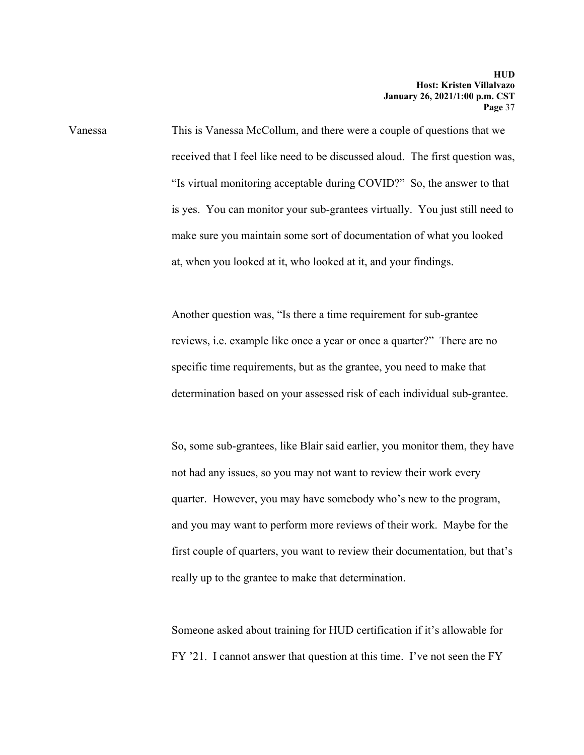Vanessa This is Vanessa McCollum, and there were a couple of questions that we received that I feel like need to be discussed aloud. The first question was, "Is virtual monitoring acceptable during COVID?" So, the answer to that is yes. You can monitor your sub-grantees virtually. You just still need to make sure you maintain some sort of documentation of what you looked at, when you looked at it, who looked at it, and your findings.

> Another question was, "Is there a time requirement for sub-grantee reviews, i.e. example like once a year or once a quarter?" There are no specific time requirements, but as the grantee, you need to make that determination based on your assessed risk of each individual sub-grantee.

So, some sub-grantees, like Blair said earlier, you monitor them, they have not had any issues, so you may not want to review their work every quarter. However, you may have somebody who's new to the program, and you may want to perform more reviews of their work. Maybe for the first couple of quarters, you want to review their documentation, but that's really up to the grantee to make that determination.

Someone asked about training for HUD certification if it's allowable for FY '21. I cannot answer that question at this time. I've not seen the FY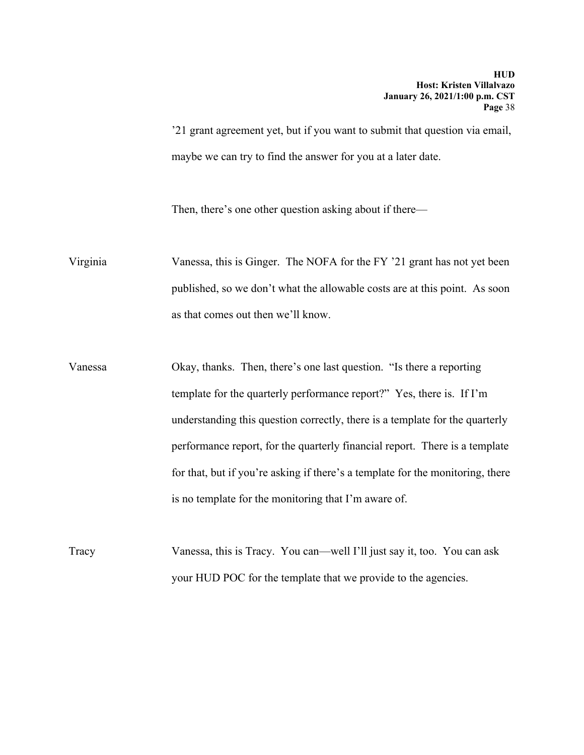'21 grant agreement yet, but if you want to submit that question via email, maybe we can try to find the answer for you at a later date.

Then, there's one other question asking about if there—

Virginia Vanessa, this is Ginger. The NOFA for the FY '21 grant has not yet been published, so we don't what the allowable costs are at this point. As soon as that comes out then we'll know.

Vanessa Okay, thanks. Then, there's one last question. "Is there a reporting template for the quarterly performance report?" Yes, there is. If I'm understanding this question correctly, there is a template for the quarterly performance report, for the quarterly financial report. There is a template for that, but if you're asking if there's a template for the monitoring, there is no template for the monitoring that I'm aware of.

Tracy Vanessa, this is Tracy. You can—well I'll just say it, too. You can ask your HUD POC for the template that we provide to the agencies.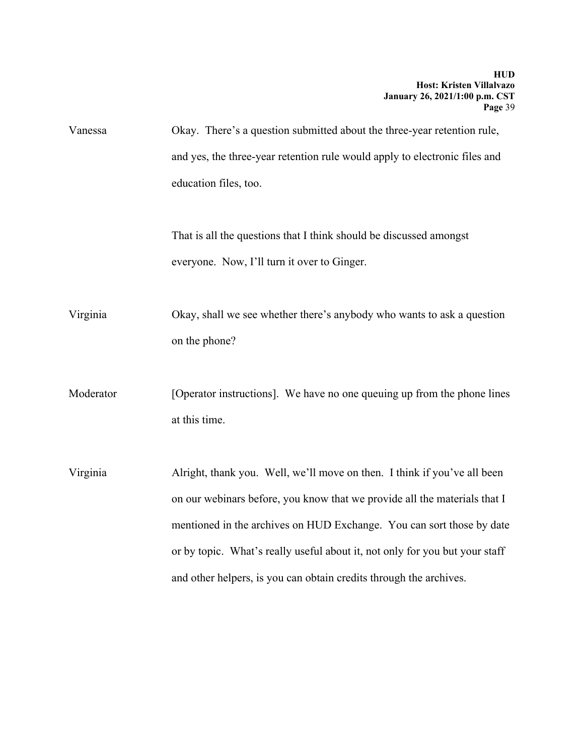Vanessa Okay. There's a question submitted about the three-year retention rule, and yes, the three-year retention rule would apply to electronic files and education files, too.

> That is all the questions that I think should be discussed amongst everyone. Now, I'll turn it over to Ginger.

Virginia Okay, shall we see whether there's anybody who wants to ask a question on the phone?

Moderator [Operator instructions]. We have no one queuing up from the phone lines at this time.

Virginia Alright, thank you. Well, we'll move on then. I think if you've all been on our webinars before, you know that we provide all the materials that I mentioned in the archives on HUD Exchange. You can sort those by date or by topic. What's really useful about it, not only for you but your staff and other helpers, is you can obtain credits through the archives.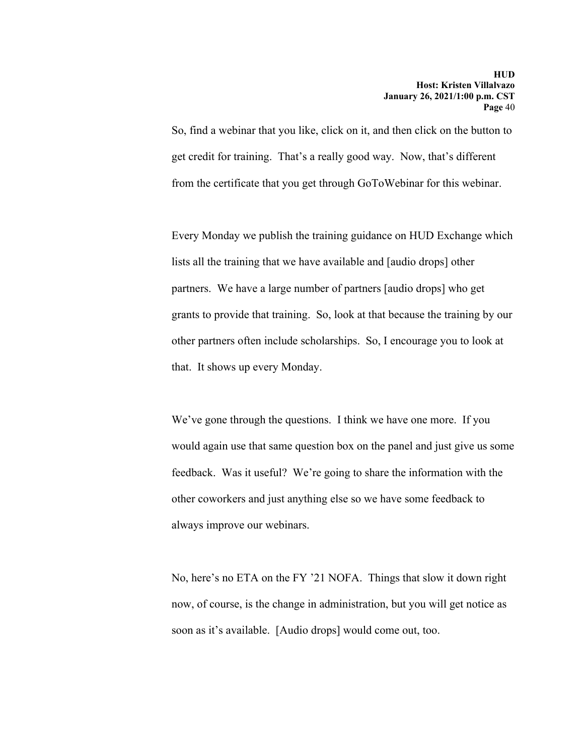So, find a webinar that you like, click on it, and then click on the button to get credit for training. That's a really good way. Now, that's different from the certificate that you get through GoToWebinar for this webinar.

Every Monday we publish the training guidance on HUD Exchange which lists all the training that we have available and [audio drops] other partners. We have a large number of partners [audio drops] who get grants to provide that training. So, look at that because the training by our other partners often include scholarships. So, I encourage you to look at that. It shows up every Monday.

We've gone through the questions. I think we have one more. If you would again use that same question box on the panel and just give us some feedback. Was it useful? We're going to share the information with the other coworkers and just anything else so we have some feedback to always improve our webinars.

No, here's no ETA on the FY '21 NOFA. Things that slow it down right now, of course, is the change in administration, but you will get notice as soon as it's available. [Audio drops] would come out, too.